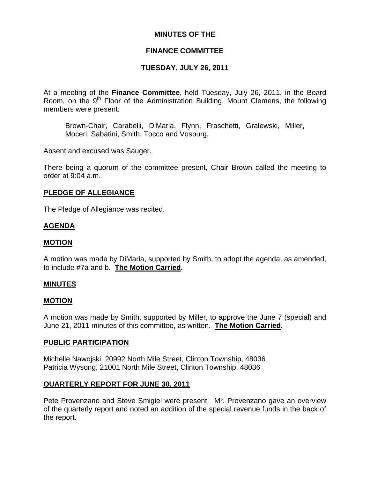### **MINUTES OF THE**

## **FINANCE COMMITTEE**

# **TUESDAY, JULY 26, 2011**

At a meeting of the **Finance Committee**, held Tuesday, July 26, 2011, in the Board Room, on the 9<sup>th</sup> Floor of the Administration Building, Mount Clemens, the following members were present:

Brown-Chair, Carabelli, DiMaria, Flynn, Fraschetti, Gralewski, Miller, Moceri, Sabatini, Smith, Tocco and Vosburg.

Absent and excused was Sauger.

There being a quorum of the committee present, Chair Brown called the meeting to order at 9:04 a.m.

### **PLEDGE OF ALLEGIANCE**

The Pledge of Allegiance was recited.

### **AGENDA**

### **MOTION**

A motion was made by DiMaria, supported by Smith, to adopt the agenda, as amended, to include #7a and b. **The Motion Carried.** 

### **MINUTES**

### **MOTION**

A motion was made by Smith, supported by Miller, to approve the June 7 (special) and June 21, 2011 minutes of this committee, as written. **The Motion Carried.** 

### **PUBLIC PARTICIPATION**

Michelle Nawojski, 20992 North Mile Street, Clinton Township, 48036 Patricia Wysong, 21001 North Mile Street, Clinton Township, 48036

### **QUARTERLY REPORT FOR JUNE 30, 2011**

Pete Provenzano and Steve Smigiel were present. Mr. Provenzano gave an overview of the quarterly report and noted an addition of the special revenue funds in the back of the report.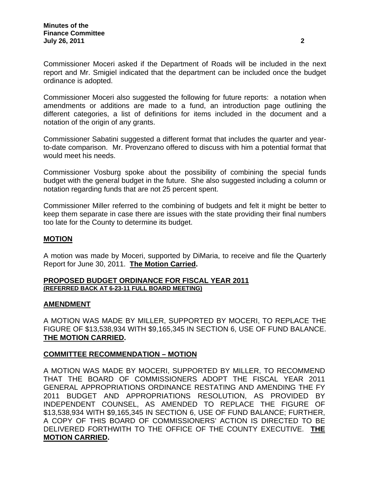Commissioner Moceri asked if the Department of Roads will be included in the next report and Mr. Smigiel indicated that the department can be included once the budget ordinance is adopted.

Commissioner Moceri also suggested the following for future reports: a notation when amendments or additions are made to a fund, an introduction page outlining the different categories, a list of definitions for items included in the document and a notation of the origin of any grants.

Commissioner Sabatini suggested a different format that includes the quarter and yearto-date comparison. Mr. Provenzano offered to discuss with him a potential format that would meet his needs.

Commissioner Vosburg spoke about the possibility of combining the special funds budget with the general budget in the future. She also suggested including a column or notation regarding funds that are not 25 percent spent.

Commissioner Miller referred to the combining of budgets and felt it might be better to keep them separate in case there are issues with the state providing their final numbers too late for the County to determine its budget.

## **MOTION**

A motion was made by Moceri, supported by DiMaria, to receive and file the Quarterly Report for June 30, 2011. **The Motion Carried.** 

### **PROPOSED BUDGET ORDINANCE FOR FISCAL YEAR 2011 (REFERRED BACK AT 6-23-11 FULL BOARD MEETING)**

## **AMENDMENT**

A MOTION WAS MADE BY MILLER, SUPPORTED BY MOCERI, TO REPLACE THE FIGURE OF \$13,538,934 WITH \$9,165,345 IN SECTION 6, USE OF FUND BALANCE. **THE MOTION CARRIED.** 

## **COMMITTEE RECOMMENDATION – MOTION**

A MOTION WAS MADE BY MOCERI, SUPPORTED BY MILLER, TO RECOMMEND THAT THE BOARD OF COMMISSIONERS ADOPT THE FISCAL YEAR 2011 GENERAL APPROPRIATIONS ORDINANCE RESTATING AND AMENDING THE FY 2011 BUDGET AND APPROPRIATIONS RESOLUTION, AS PROVIDED BY INDEPENDENT COUNSEL, AS AMENDED TO REPLACE THE FIGURE OF \$13,538,934 WITH \$9,165,345 IN SECTION 6, USE OF FUND BALANCE; FURTHER, A COPY OF THIS BOARD OF COMMISSIONERS' ACTION IS DIRECTED TO BE DELIVERED FORTHWITH TO THE OFFICE OF THE COUNTY EXECUTIVE. **THE MOTION CARRIED.**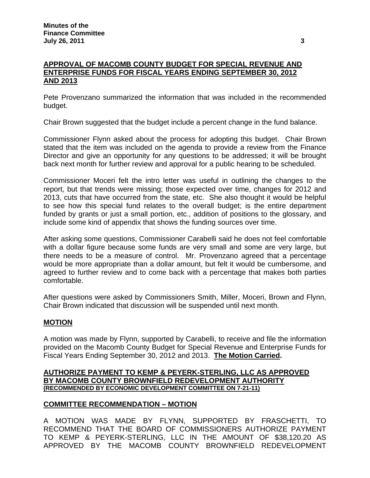## **APPROVAL OF MACOMB COUNTY BUDGET FOR SPECIAL REVENUE AND ENTERPRISE FUNDS FOR FISCAL YEARS ENDING SEPTEMBER 30, 2012 AND 2013**

Pete Provenzano summarized the information that was included in the recommended budget.

Chair Brown suggested that the budget include a percent change in the fund balance.

Commissioner Flynn asked about the process for adopting this budget. Chair Brown stated that the item was included on the agenda to provide a review from the Finance Director and give an opportunity for any questions to be addressed; it will be brought back next month for further review and approval for a public hearing to be scheduled.

Commissioner Moceri felt the intro letter was useful in outlining the changes to the report, but that trends were missing; those expected over time, changes for 2012 and 2013, cuts that have occurred from the state, etc. She also thought it would be helpful to see how this special fund relates to the overall budget; is the entire department funded by grants or just a small portion, etc., addition of positions to the glossary, and include some kind of appendix that shows the funding sources over time.

After asking some questions, Commissioner Carabelli said he does not feel comfortable with a dollar figure because some funds are very small and some are very large, but there needs to be a measure of control. Mr. Provenzano agreed that a percentage would be more appropriate than a dollar amount, but felt it would be cumbersome, and agreed to further review and to come back with a percentage that makes both parties comfortable.

After questions were asked by Commissioners Smith, Miller, Moceri, Brown and Flynn, Chair Brown indicated that discussion will be suspended until next month.

## **MOTION**

A motion was made by Flynn, supported by Carabelli, to receive and file the information provided on the Macomb County Budget for Special Revenue and Enterprise Funds for Fiscal Years Ending September 30, 2012 and 2013. **The Motion Carried.** 

### **AUTHORIZE PAYMENT TO KEMP & PEYERK-STERLING, LLC AS APPROVED BY MACOMB COUNTY BROWNFIELD REDEVELOPMENT AUTHORITY (RECOMMENDED BY ECONOMIC DEVELOPMENT COMMITTEE ON 7-21-11)**

### **COMMITTEE RECOMMENDATION – MOTION**

A MOTION WAS MADE BY FLYNN, SUPPORTED BY FRASCHETTI, TO RECOMMEND THAT THE BOARD OF COMMISSIONERS AUTHORIZE PAYMENT TO KEMP & PEYERK-STERLING, LLC IN THE AMOUNT OF \$38,120.20 AS APPROVED BY THE MACOMB COUNTY BROWNFIELD REDEVELOPMENT